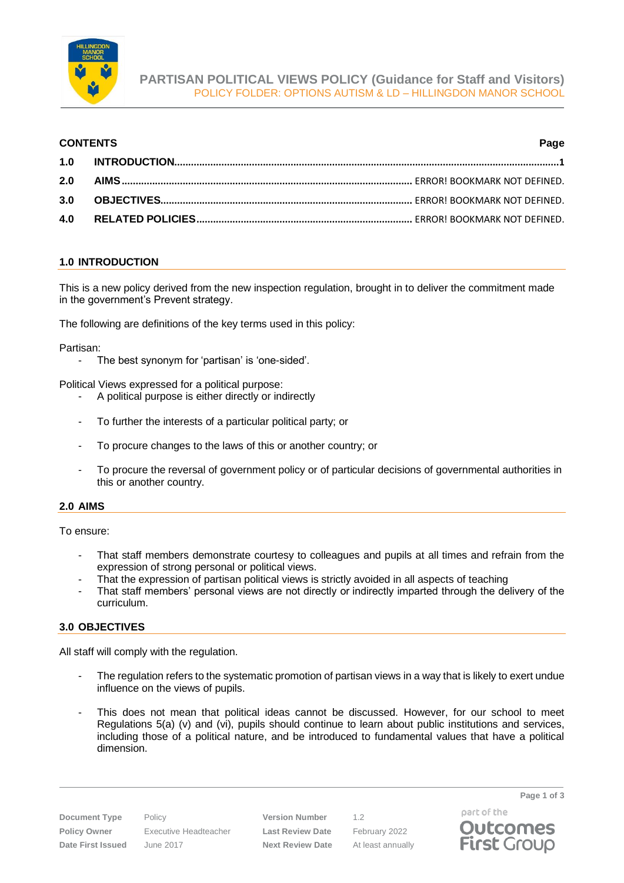

# **CONTENTS Page**

# <span id="page-0-0"></span>**1.0 INTRODUCTION**

This is a new policy derived from the new inspection regulation, brought in to deliver the commitment made in the government's Prevent strategy.

The following are definitions of the key terms used in this policy:

Partisan:

- The best synonym for 'partisan' is 'one-sided'.

Political Views expressed for a political purpose:

- A political purpose is either directly or indirectly
- To further the interests of a particular political party; or
- To procure changes to the laws of this or another country; or
- To procure the reversal of government policy or of particular decisions of governmental authorities in this or another country.

### **2.0 AIMS**

To ensure:

- That staff members demonstrate courtesy to colleagues and pupils at all times and refrain from the expression of strong personal or political views.
- That the expression of partisan political views is strictly avoided in all aspects of teaching
- That staff members' personal views are not directly or indirectly imparted through the delivery of the curriculum.

### **3.0 OBJECTIVES**

All staff will comply with the regulation.

- The regulation refers to the systematic promotion of partisan views in a way that is likely to exert undue influence on the views of pupils.
- This does not mean that political ideas cannot be discussed. However, for our school to meet Regulations 5(a) (v) and (vi), pupils should continue to learn about public institutions and services, including those of a political nature, and be introduced to fundamental values that have a political dimension.

**Policy Owner** Executive Headteacher **Last Review Date** February 2022 **Date First Issued** June 2017 **Next Review Date** At least annually

**Document Type** Policy **Version Number** 1.2

part of the **Outcomes First Group** 

**Page 1 of 3**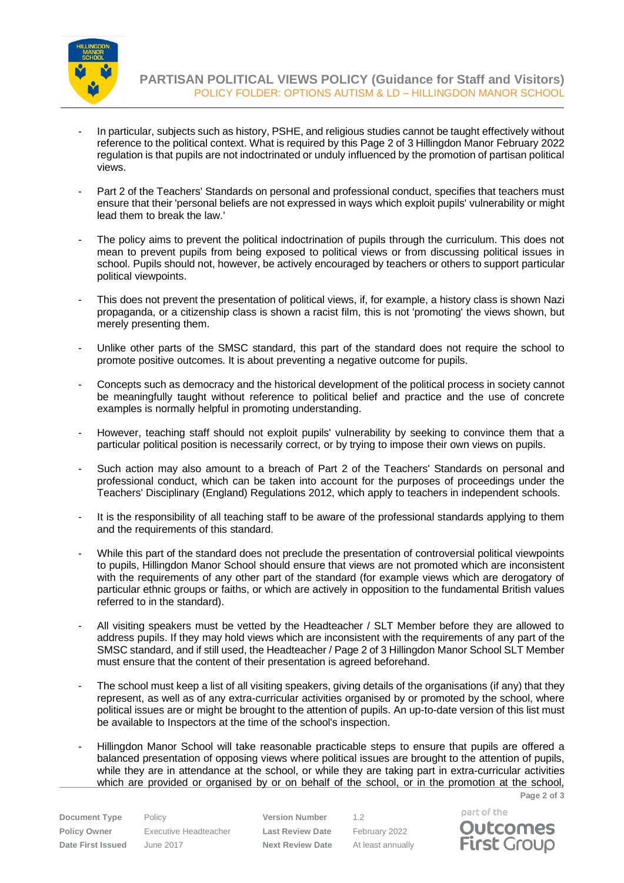

**PARTISAN POLITICAL VIEWS POLICY (Guidance for Staff and Visitors)** POLICY FOLDER: OPTIONS AUTISM & LD – HILLINGDON MANOR SCHOOL

- In particular, subjects such as history, PSHE, and religious studies cannot be taught effectively without reference to the political context. What is required by this Page 2 of 3 Hillingdon Manor February 2022 regulation is that pupils are not indoctrinated or unduly influenced by the promotion of partisan political views.
- Part 2 of the Teachers' Standards on personal and professional conduct, specifies that teachers must ensure that their 'personal beliefs are not expressed in ways which exploit pupils' vulnerability or might lead them to break the law.'
- The policy aims to prevent the political indoctrination of pupils through the curriculum. This does not mean to prevent pupils from being exposed to political views or from discussing political issues in school. Pupils should not, however, be actively encouraged by teachers or others to support particular political viewpoints.
- This does not prevent the presentation of political views, if, for example, a history class is shown Nazi propaganda, or a citizenship class is shown a racist film, this is not 'promoting' the views shown, but merely presenting them.
- Unlike other parts of the SMSC standard, this part of the standard does not require the school to promote positive outcomes. It is about preventing a negative outcome for pupils.
- Concepts such as democracy and the historical development of the political process in society cannot be meaningfully taught without reference to political belief and practice and the use of concrete examples is normally helpful in promoting understanding.
- However, teaching staff should not exploit pupils' vulnerability by seeking to convince them that a particular political position is necessarily correct, or by trying to impose their own views on pupils.
- Such action may also amount to a breach of Part 2 of the Teachers' Standards on personal and professional conduct, which can be taken into account for the purposes of proceedings under the Teachers' Disciplinary (England) Regulations 2012, which apply to teachers in independent schools.
- It is the responsibility of all teaching staff to be aware of the professional standards applying to them and the requirements of this standard.
- While this part of the standard does not preclude the presentation of controversial political viewpoints to pupils, Hillingdon Manor School should ensure that views are not promoted which are inconsistent with the requirements of any other part of the standard (for example views which are derogatory of particular ethnic groups or faiths, or which are actively in opposition to the fundamental British values referred to in the standard).
- All visiting speakers must be vetted by the Headteacher / SLT Member before they are allowed to address pupils. If they may hold views which are inconsistent with the requirements of any part of the SMSC standard, and if still used, the Headteacher / Page 2 of 3 Hillingdon Manor School SLT Member must ensure that the content of their presentation is agreed beforehand.
- The school must keep a list of all visiting speakers, giving details of the organisations (if any) that they represent, as well as of any extra-curricular activities organised by or promoted by the school, where political issues are or might be brought to the attention of pupils. An up-to-date version of this list must be available to Inspectors at the time of the school's inspection.
- Hillingdon Manor School will take reasonable practicable steps to ensure that pupils are offered a balanced presentation of opposing views where political issues are brought to the attention of pupils, while they are in attendance at the school, or while they are taking part in extra-curricular activities which are provided or organised by or on behalf of the school, or in the promotion at the school,

**Document Type** Policy **Version Number** 1.2 **Policy Owner** Executive Headteacher **Last Review Date** February 2022 **Date First Issued** June 2017 **Next Review Date** At least annually



**Page 2 of 3**